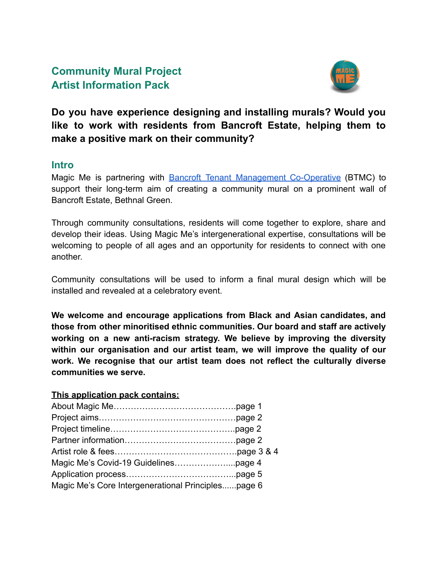# **Community Mural Project Artist Information Pack**



**Do you have experience designing and installing murals? Would you like to work with residents from Bancroft Estate, helping them to make a positive mark on their community?**

#### **Intro**

Magic Me is partnering with Bancroft Tenant Management [Co-Operative](https://bancrofttmc.org.uk/) (BTMC) to support their long-term aim of creating a community mural on a prominent wall of Bancroft Estate, Bethnal Green.

Through community consultations, residents will come together to explore, share and develop their ideas. Using Magic Me's intergenerational expertise, consultations will be welcoming to people of all ages and an opportunity for residents to connect with one another.

Community consultations will be used to inform a final mural design which will be installed and revealed at a celebratory event.

**We welcome and encourage applications from Black and Asian candidates, and those from other minoritised ethnic communities. Our board and staff are actively working on a new anti-racism strategy. We believe by improving the diversity within our organisation and our artist team, we will improve the quality of our work. We recognise that our artist team does not reflect the culturally diverse communities we serve.**

#### **This application pack contains:**

| Magic Me's Core Intergenerational Principlespage 6 |  |
|----------------------------------------------------|--|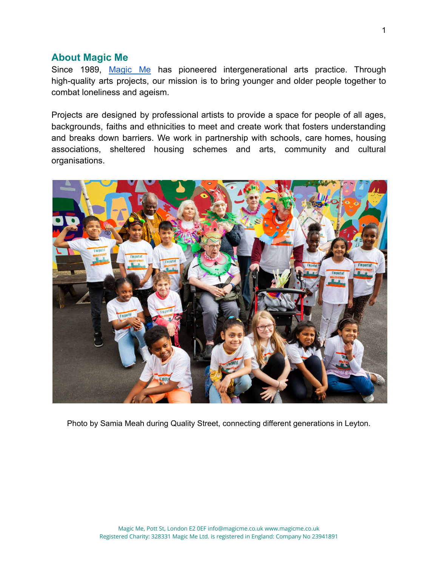#### **About Magic Me**

Since 1989, [Magic](https://magicme.co.uk/) Me has pioneered intergenerational arts practice. Through high-quality arts projects, our mission is to bring younger and older people together to combat loneliness and ageism.

Projects are designed by professional artists to provide a space for people of all ages, backgrounds, faiths and ethnicities to meet and create work that fosters understanding and breaks down barriers. We work in partnership with schools, care homes, housing associations, sheltered housing schemes and arts, community and cultural organisations.



Photo by Samia Meah during Quality Street, connecting different generations in Leyton.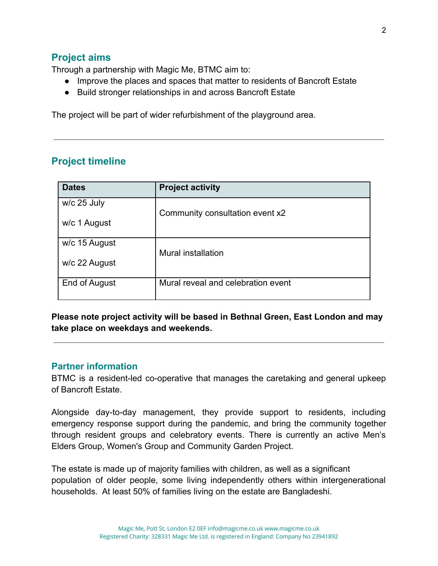### **Project aims**

Through a partnership with Magic Me, BTMC aim to:

- Improve the places and spaces that matter to residents of Bancroft Estate
- Build stronger relationships in and across Bancroft Estate

The project will be part of wider refurbishment of the playground area.

# **Project timeline**

| <b>Dates</b>  | <b>Project activity</b>            |
|---------------|------------------------------------|
| w/c 25 July   | Community consultation event x2    |
| w/c 1 August  |                                    |
| w/c 15 August | Mural installation                 |
| w/c 22 August |                                    |
| End of August | Mural reveal and celebration event |

**Please note project activity will be based in Bethnal Green, East London and may take place on weekdays and weekends.**

#### **Partner information**

BTMC is a resident-led co-operative that manages the caretaking and general upkeep of Bancroft Estate.

Alongside day-to-day management, they provide support to residents, including emergency response support during the pandemic, and bring the community together through resident groups and celebratory events. There is currently an active Men's Elders Group, Women's Group and Community Garden Project.

The estate is made up of majority families with children, as well as a significant population of older people, some living independently others within intergenerational households. At least 50% of families living on the estate are Bangladeshi.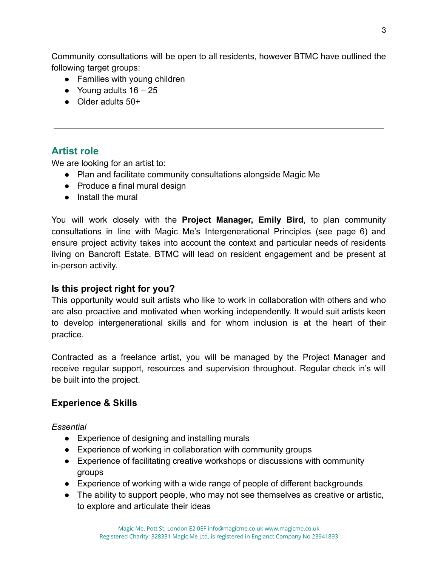Community consultations will be open to all residents, however BTMC have outlined the following target groups:

- Families with young children
- Young adults  $16 25$
- Older adults 50+

## **Artist role**

We are looking for an artist to:

- Plan and facilitate community consultations alongside Magic Me
- Produce a final mural design
- Install the mural

You will work closely with the **Project Manager, Emily Bird**, to plan community consultations in line with Magic Me's Intergenerational Principles (see page 6) and ensure project activity takes into account the context and particular needs of residents living on Bancroft Estate. BTMC will lead on resident engagement and be present at in-person activity.

#### **Is this project right for you?**

This opportunity would suit artists who like to work in collaboration with others and who are also proactive and motivated when working independently. It would suit artists keen to develop intergenerational skills and for whom inclusion is at the heart of their practice.

Contracted as a freelance artist, you will be managed by the Project Manager and receive regular support, resources and supervision throughout. Regular check in's will be built into the project.

#### **Experience & Skills**

*Essential*

- Experience of designing and installing murals
- Experience of working in collaboration with community groups
- Experience of facilitating creative workshops or discussions with community groups
- Experience of working with a wide range of people of different backgrounds
- The ability to support people, who may not see themselves as creative or artistic, to explore and articulate their ideas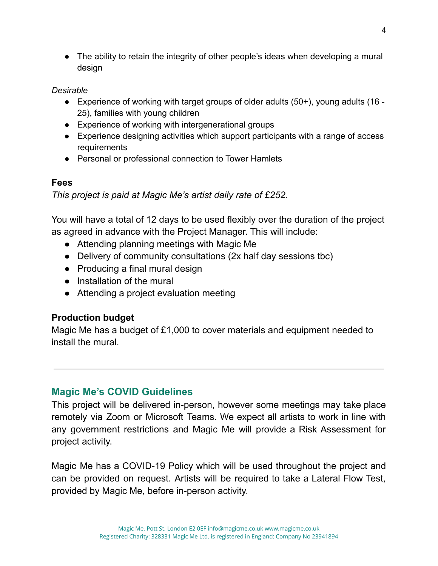• The ability to retain the integrity of other people's ideas when developing a mural design

#### *Desirable*

- Experience of working with target groups of older adults (50+), young adults (16 25), families with young children
- Experience of working with intergenerational groups
- Experience designing activities which support participants with a range of access **requirements**
- Personal or professional connection to Tower Hamlets

### **Fees**

*This project is paid at Magic Me's artist daily rate of £252.*

You will have a total of 12 days to be used flexibly over the duration of the project as agreed in advance with the Project Manager. This will include:

- Attending planning meetings with Magic Me
- Delivery of community consultations (2x half day sessions tbc)
- Producing a final mural design
- Installation of the mural
- Attending a project evaluation meeting

# **Production budget**

Magic Me has a budget of £1,000 to cover materials and equipment needed to install the mural.

# **Magic Me's COVID Guidelines**

This project will be delivered in-person, however some meetings may take place remotely via Zoom or Microsoft Teams. We expect all artists to work in line with any government restrictions and Magic Me will provide a Risk Assessment for project activity.

Magic Me has a COVID-19 Policy which will be used throughout the project and can be provided on request. Artists will be required to take a Lateral Flow Test, provided by Magic Me, before in-person activity.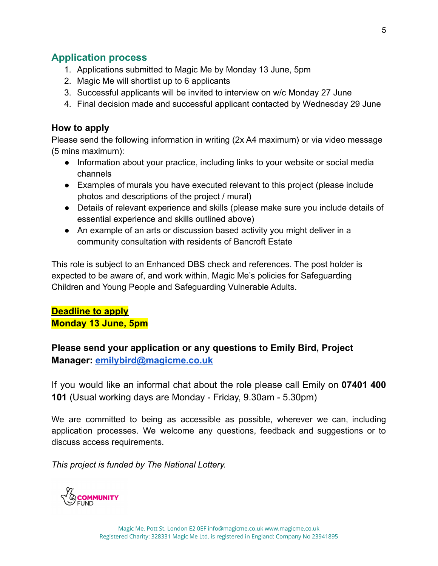### **Application process**

- 1. Applications submitted to Magic Me by Monday 13 June, 5pm
- 2. Magic Me will shortlist up to 6 applicants
- 3. Successful applicants will be invited to interview on w/c Monday 27 June
- 4. Final decision made and successful applicant contacted by Wednesday 29 June

#### **How to apply**

Please send the following information in writing (2x A4 maximum) or via video message (5 mins maximum):

- Information about your practice, including links to your website or social media channels
- Examples of murals you have executed relevant to this project (please include photos and descriptions of the project / mural)
- Details of relevant experience and skills (please make sure you include details of essential experience and skills outlined above)
- An example of an arts or discussion based activity you might deliver in a community consultation with residents of Bancroft Estate

This role is subject to an Enhanced DBS check and references. The post holder is expected to be aware of, and work within, Magic Me's policies for Safeguarding Children and Young People and Safeguarding Vulnerable Adults.

#### **Deadline to apply Monday 13 June, 5pm**

## **Please send your application or any questions to Emily Bird, Project Manager: [emilybird@magicme.co.uk](mailto:emilybird@magicme.co.uk)**

If you would like an informal chat about the role please call Emily on **07401 400 101** (Usual working days are Monday - Friday, 9.30am - 5.30pm)

We are committed to being as accessible as possible, wherever we can, including application processes. We welcome any questions, feedback and suggestions or to discuss access requirements.

*This project is funded by The National Lottery.*